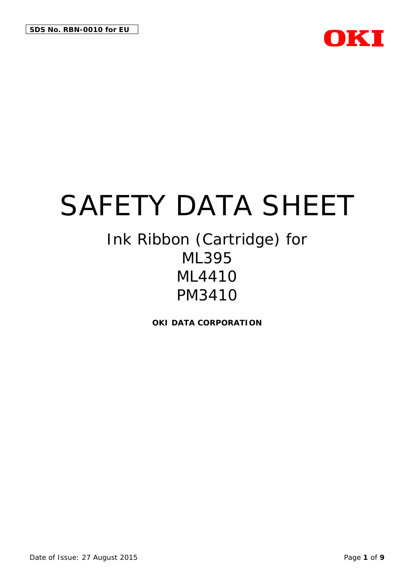

# Ink Ribbon (Cartridge) for ML395 ML4410 PM3410

**OKI DATA CORPORATION**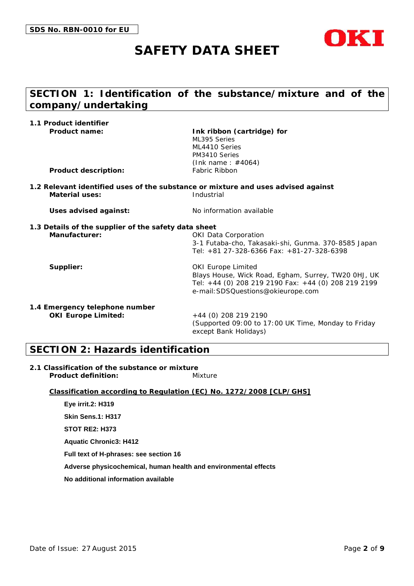

## **SECTION 1: Identification of the substance/mixture and of the company/undertaking**

| 1.1 Product identifier                               |                                                                                                  |
|------------------------------------------------------|--------------------------------------------------------------------------------------------------|
| Product name:                                        | Ink ribbon (cartridge) for                                                                       |
|                                                      | ML395 Series<br>ML4410 Series                                                                    |
|                                                      | PM3410 Series                                                                                    |
|                                                      | (Ink name: $\#4064$ )                                                                            |
| Product description:                                 | Fabric Ribbon                                                                                    |
|                                                      | 1.2 Relevant identified uses of the substance or mixture and uses advised against<br>Industrial  |
| Material uses:                                       |                                                                                                  |
| Uses advised against:                                | No information available                                                                         |
| 1.3 Details of the supplier of the safety data sheet |                                                                                                  |
| Manufacturer:                                        | <b>OKI Data Corporation</b>                                                                      |
|                                                      | 3-1 Futaba-cho, Takasaki-shi, Gunma. 370-8585 Japan<br>Tel: +81 27-328-6366 Fax: +81-27-328-6398 |
| Supplier:                                            | <b>OKI Europe Limited</b>                                                                        |
|                                                      | Blays House, Wick Road, Egham, Surrey, TW20 OHJ, UK                                              |
|                                                      | Tel: +44 (0) 208 219 2190 Fax: +44 (0) 208 219 2199<br>e-mail: SDSQuestions@okieurope.com        |
| 1.4 Emergency telephone number                       |                                                                                                  |
| OKI Europe Limited:                                  | +44 (0) 208 219 2190                                                                             |
|                                                      | (Supported 09:00 to 17:00 UK Time, Monday to Friday<br>except Bank Holidays)                     |

#### **SECTION 2: Hazards identification**

**2.1 Classification of the substance or mixture** Product definition: Mixture

**Classification according to Regulation (EC) No. 1272/2008 [CLP/GHS]**

**Eye irrit.2: H319 Skin Sens.1: H317 STOT RE2: H373 Aquatic Chronic3: H412 Full text of H-phrases: see section 16 Adverse physicochemical, human health and environmental effects No additional information available**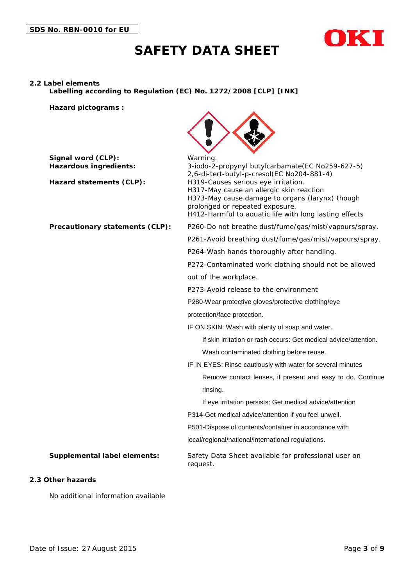



#### **2.2 Label elements**

**Labelling according to Regulation (EC) No. 1272/2008 [CLP] [INK]**

**Hazard pictograms :**



| Signal word (CLP):<br>Hazardous ingredients:<br>Hazard statements (CLP): | Warning.<br>3-iodo-2-propynyl butylcarbamate(EC No259-627-5)<br>2,6-di-tert-butyl-p-cresol(EC No204-881-4)<br>H319-Causes serious eye irritation.<br>H317-May cause an allergic skin reaction<br>H373-May cause damage to organs (larynx) though<br>prolonged or repeated exposure.<br>H412-Harmful to aquatic life with long lasting effects |
|--------------------------------------------------------------------------|-----------------------------------------------------------------------------------------------------------------------------------------------------------------------------------------------------------------------------------------------------------------------------------------------------------------------------------------------|
| Precautionary statements (CLP):                                          | P260-Do not breathe dust/fume/gas/mist/vapours/spray.                                                                                                                                                                                                                                                                                         |
|                                                                          | P261-Avoid breathing dust/fume/gas/mist/vapours/spray.                                                                                                                                                                                                                                                                                        |
|                                                                          | P264-Wash hands thoroughly after handling.                                                                                                                                                                                                                                                                                                    |
|                                                                          | P272-Contaminated work clothing should not be allowed                                                                                                                                                                                                                                                                                         |
|                                                                          | out of the workplace.                                                                                                                                                                                                                                                                                                                         |
|                                                                          | P273-Avoid release to the environment                                                                                                                                                                                                                                                                                                         |
|                                                                          | P280-Wear protective gloves/protective clothing/eye                                                                                                                                                                                                                                                                                           |
|                                                                          | protection/face protection.                                                                                                                                                                                                                                                                                                                   |
|                                                                          | IF ON SKIN: Wash with plenty of soap and water.                                                                                                                                                                                                                                                                                               |
|                                                                          | If skin irritation or rash occurs: Get medical advice/attention.                                                                                                                                                                                                                                                                              |
|                                                                          | Wash contaminated clothing before reuse.                                                                                                                                                                                                                                                                                                      |
|                                                                          | IF IN EYES: Rinse cautiously with water for several minutes                                                                                                                                                                                                                                                                                   |
|                                                                          | Remove contact lenses, if present and easy to do. Continue                                                                                                                                                                                                                                                                                    |
|                                                                          | rinsing.                                                                                                                                                                                                                                                                                                                                      |
|                                                                          | If eye irritation persists: Get medical advice/attention                                                                                                                                                                                                                                                                                      |
|                                                                          | P314-Get medical advice/attention if you feel unwell.                                                                                                                                                                                                                                                                                         |
|                                                                          | P501-Dispose of contents/container in accordance with                                                                                                                                                                                                                                                                                         |
|                                                                          | local/regional/national/international regulations.                                                                                                                                                                                                                                                                                            |
| Supplemental label elements:                                             | Safety Data Sheet available for professional user on<br>request.                                                                                                                                                                                                                                                                              |
| 2.3 Other hazards                                                        |                                                                                                                                                                                                                                                                                                                                               |

No additional information available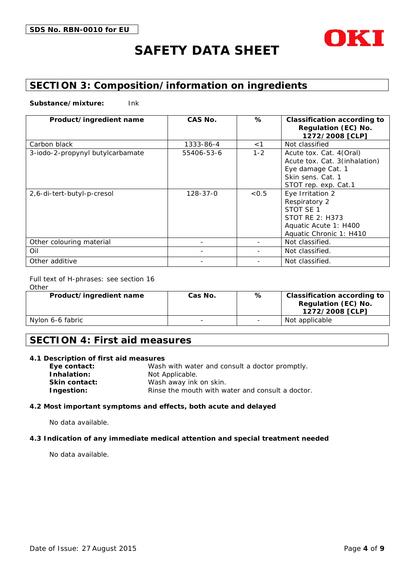

## **SECTION 3: Composition/information on ingredients**

**Substance/mixture:** Ink

| Product/ingredient name          | CAS No.        | %       | Classification according to<br>Regulation (EC) No.<br>1272/2008 [CLP]                                                        |
|----------------------------------|----------------|---------|------------------------------------------------------------------------------------------------------------------------------|
| Carbon black                     | 1333-86-4      | $<$ 1   | Not classified                                                                                                               |
| 3-iodo-2-propynyl butylcarbamate | 55406-53-6     | $1 - 2$ | Acute tox. Cat. 4(Oral)<br>Acute tox. Cat. 3(inhalation)<br>Eye damage Cat. 1<br>Skin sens. Cat. 1<br>STOT rep. exp. Cat.1   |
| 2,6-di-tert-butyl-p-cresol       | $128 - 37 - 0$ | < 0.5   | Eye Irritation 2<br>Respiratory 2<br>STOT SF 1<br><b>STOT RE 2: H373</b><br>Aquatic Acute 1: H400<br>Aquatic Chronic 1: H410 |
| Other colouring material         |                |         | Not classified.                                                                                                              |
| Oil                              |                |         | Not classified.                                                                                                              |
| Other additive                   |                |         | Not classified.                                                                                                              |

Full text of H-phrases: see section 16

**Other** 

| Product/ingredient name | Cas No. | % | Classification according to<br>Regulation (EC) No.<br>1272/2008 [CLP] |
|-------------------------|---------|---|-----------------------------------------------------------------------|
| Nylon 6-6 fabric        |         |   | Not applicable                                                        |

#### **SECTION 4: First aid measures**

| 4.1 Description of first aid measures            |
|--------------------------------------------------|
| Wash with water and consult a doctor promptly.   |
| Not Applicable.                                  |
| Wash away ink on skin.                           |
| Rinse the mouth with water and consult a doctor. |
|                                                  |

**4.2 Most important symptoms and effects, both acute and delayed**

No data available.

**4.3 Indication of any immediate medical attention and special treatment needed**

No data available.

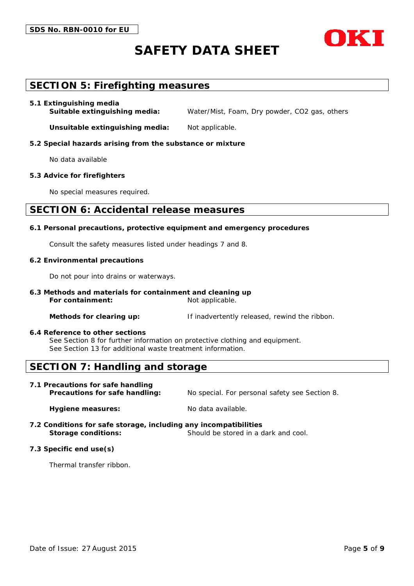

#### **SECTION 5: Firefighting measures**

#### **5.1 Extinguishing media**

**Suitable extinguishing media:** Water/Mist, Foam, Dry powder, CO2 gas, others

**Unsuitable extinguishing media:** Not applicable.

**5.2 Special hazards arising from the substance or mixture**

No data available

**5.3 Advice for firefighters**

No special measures required.

#### **SECTION 6: Accidental release measures**

**6.1 Personal precautions, protective equipment and emergency procedures**

Consult the safety measures listed under headings 7 and 8.

**6.2 Environmental precautions**

Do not pour into drains or waterways.

**6.3 Methods and materials for containment and cleaning up** For containment: Not applicable.

**Methods for clearing up:** If inadvertently released, rewind the ribbon.

**6.4 Reference to other sections** See Section 8 for further information on protective clothing and equipment. See Section 13 for additional waste treatment information.

#### **SECTION 7: Handling and storage**

**7.1 Precautions for safe handling**

**Precautions for safe handling:** No special. For personal safety see Section 8.

Hygiene measures: No data available.

- **7.2 Conditions for safe storage, including any incompatibilities** Storage conditions:
- **7.3 Specific end use(s)**

Thermal transfer ribbon.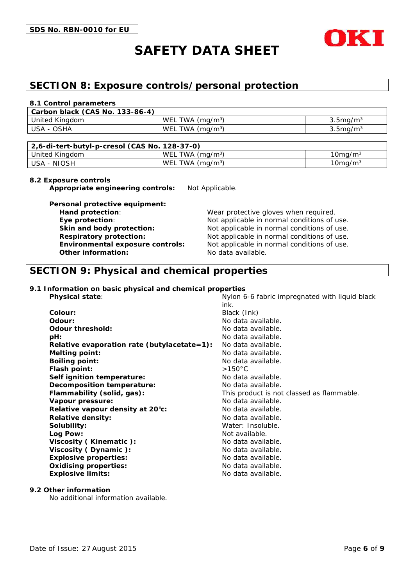

#### **SECTION 8: Exposure controls/personal protection**

#### **8.1 Control parameters**

| l Carbon black (CAS No. 133-86-4) |                   |                      |
|-----------------------------------|-------------------|----------------------|
| United Kingdom                    | WEL TWA $(mq/m3)$ | $3.5$ ma/m $3.5$     |
| USA - OSHA                        | WEL TWA $(mg/m3)$ | 3.5mg/m <sup>3</sup> |

| 2,6-di-tert-butyl-p-cresol (CAS No. 128-37-0) |                   |               |
|-----------------------------------------------|-------------------|---------------|
| United Kingdom                                | WEL TWA $(mq/m3)$ | $10$ mg/m $3$ |
| l USA - NIOSH                                 | WEL TWA $(mq/m3)$ | $10$ mg/m $3$ |

#### **8.2 Exposure controls**

**Appropriate engineering controls:** Not Applicable.

**Personal protective equipment: Hand protection**: Wear protective gloves when required. **Other information:** No data available.

**Eye protection**: Not applicable in normal conditions of use. **Skin** and body protection: Not applicable in normal conditions of use. **Respiratory protection:** Not applicable in normal conditions of use. **Environmental exposure controls:** Not applicable in normal conditions of use.

#### **SECTION 9: Physical and chemical properties**

**9.1 Information on basic physical and chemical properties**

| Physical state:                             | Nylon 6-6 fabric impregnated with liquid black<br>ink. |
|---------------------------------------------|--------------------------------------------------------|
| Colour:                                     | Black (Ink)                                            |
| Odour:                                      | No data available.                                     |
| Odour threshold:                            | No data available.                                     |
| pH:                                         | No data available.                                     |
| Relative evaporation rate (butylacetate=1): | No data available.                                     |
| Melting point:                              | No data available.                                     |
| Boiling point:                              | No data available.                                     |
| Flash point:                                | $>150^{\circ}$ C                                       |
| Self ignition temperature:                  | No data available.                                     |
| Decomposition temperature:                  | No data available.                                     |
| Flammability (solid, gas):                  | This product is not classed as flammable.              |
| Vapour pressure:                            | No data available.                                     |
| Relative vapour density at 20°c:            | No data available.                                     |
| Relative density:                           | No data available.                                     |
| Solubility:                                 | Water: Insoluble.                                      |
| Log Pow:                                    | Not available.                                         |
| Viscosity (Kinematic):                      | No data available.                                     |
| Viscosity (Dynamic):                        | No data available.                                     |
| Explosive properties:                       | No data available.                                     |
| Oxidising properties:                       | No data available.                                     |
| Explosive limits:                           | No data available.                                     |
|                                             |                                                        |

**9.2 Other information**

No additional information available.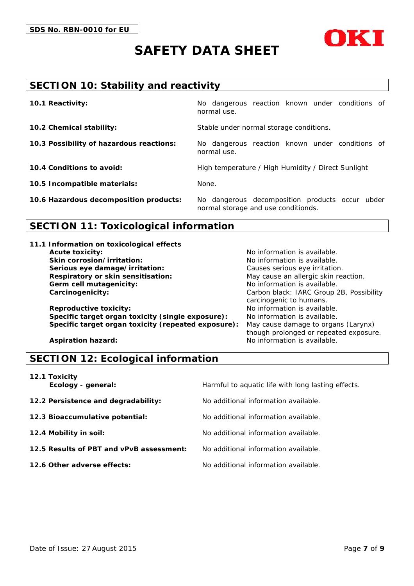



## **SECTION 10: Stability and reactivity**

| 10.1 Reactivity:                         | No dangerous reaction known under conditions of<br>normal use.                         |
|------------------------------------------|----------------------------------------------------------------------------------------|
| 10.2 Chemical stability:                 | Stable under normal storage conditions.                                                |
| 10.3 Possibility of hazardous reactions: | No dangerous reaction known under conditions of<br>normal use.                         |
| 10.4 Conditions to avoid:                | High temperature / High Humidity / Direct Sunlight                                     |
| 10.5 Incompatible materials:             | None.                                                                                  |
| 10.6 Hazardous decomposition products:   | No dangerous decomposition products occur ubder<br>normal storage and use conditionds. |

## **SECTION 11: Toxicological information**

| 11.1 Information on toxicological effects           |                                          |
|-----------------------------------------------------|------------------------------------------|
| Acute toxicity:                                     | No information is available.             |
| Skin corrosion/irritation:                          | No information is available.             |
| Serious eye damage/irritation:                      | Causes serious eye irritation.           |
| Respiratory or skin sensitisation:                  | May cause an allergic skin reaction.     |
| Germ cell mutagenicity:                             | No information is available.             |
| Carcinogenicity:                                    | Carbon black: IARC Group 2B, Possibility |
|                                                     | carcinogenic to humans.                  |
| Reproductive toxicity:                              | No information is available.             |
| Specific target organ toxicity (single exposure):   | No information is available.             |
| Specific target organ toxicity (repeated exposure): | May cause damage to organs (Larynx)      |
|                                                     | though prolonged or repeated exposure.   |
| Aspiration hazard:                                  | No information is available.             |

#### **SECTION 12: Ecological information**

| 12.1 Toxicity<br>Ecology - general: | Наі |
|-------------------------------------|-----|
| 12.2 Persistence and degradability: | No. |
| 12.3 Bioaccumulative potential:     | No. |

- 
- **12.5 Results of PBT and vPvB assessment:** No additional information available.
- 

**Examble 1 Examble 2 Examble 2 Example 2 Example 2 Example 2 Example 2 Example 2 Example 2 Example 2 Example 2 Example 2 Example 2 Example 2 Example 2 Example 2 Example 2 Example 2 Examp** 

**12.2 Persistence and degradability:** No additional information available.

**12.3 Bioaccumulative potential:** No additional information available.

**12.4 Mobility in soil:** No additional information available.

- 
- **12.6 Other adverse effects:** No additional information available.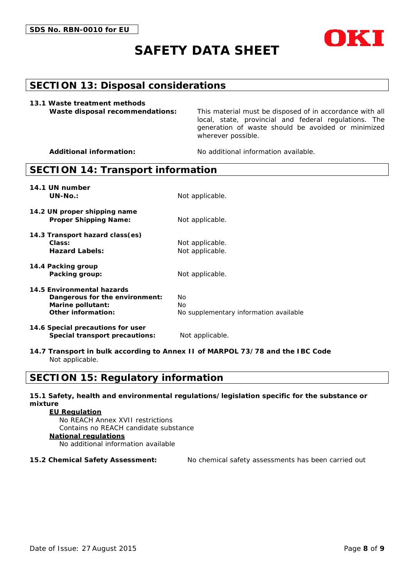

#### **SECTION 13: Disposal considerations**

**13.1 Waste treatment methods**

**Waste disposal recommendations:** This material must be disposed of in accordance with all local, state, provincial and federal regulations. The generation of waste should be avoided or minimized wherever possible.

**Additional information:** No additional information available.

#### **SECTION 14: Transport information**

| 14.1 UN number<br>$UN-NO.$ :                                                                            | Not applicable.                                      |
|---------------------------------------------------------------------------------------------------------|------------------------------------------------------|
| 14.2 UN proper shipping name<br>Proper Shipping Name:                                                   | Not applicable.                                      |
| 14.3 Transport hazard class(es)<br>Class:<br>Hazard Labels:                                             | Not applicable.<br>Not applicable.                   |
| 14.4 Packing group<br>Packing group:                                                                    | Not applicable.                                      |
| 14.5 Environmental hazards<br>Dangerous for the environment:<br>Marine pollutant:<br>Other information: | No.<br>No.<br>No supplementary information available |
| 14.6 Special precautions for user                                                                       |                                                      |

**14.7 Transport in bulk according to Annex II of MARPOL 73/78 and the IBC Code** Not applicable.

#### **SECTION 15: Regulatory information**

Special transport precautions: Not applicable.

**15.1 Safety, health and environmental regulations/legislation specific for the substance or mixture**

**EU Regulation** No REACH Annex XVII restrictions Contains no REACH candidate substance **National regulations** No additional information available

**15.2 Chemical Safety Assessment:** No chemical safety assessments has been carried out